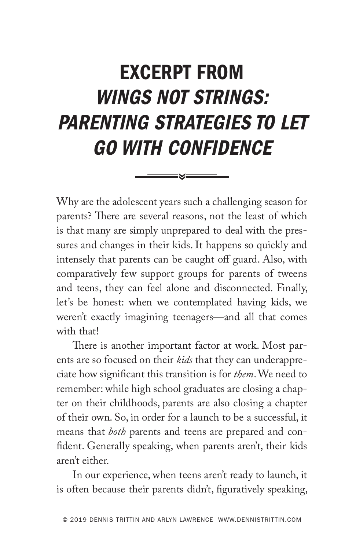## EXCERPT FROM WINGS NOT STRINGS: PARENTING STRATEGIES TO LET GO WITH CONFIDENCE

Why are the adolescent years such a challenging season for parents? There are several reasons, not the least of which is that many are simply unprepared to deal with the pressures and changes in their kids. It happens so quickly and intensely that parents can be caught off guard. Also, with comparatively few support groups for parents of tweens and teens, they can feel alone and disconnected. Finally, let's be honest: when we contemplated having kids, we weren't exactly imagining teenagers—and all that comes with that!

There is another important factor at work. Most parents are so focused on their *kids* that they can underappreciate how significant this transition is for *them*. We need to remember: while high school graduates are closing a chapter on their childhoods, parents are also closing a chapter of their own. So, in order for a launch to be a successful, it means that *both* parents and teens are prepared and confident. Generally speaking, when parents aren't, their kids aren't either.

In our experience, when teens aren't ready to launch, it is often because their parents didn't, figuratively speaking,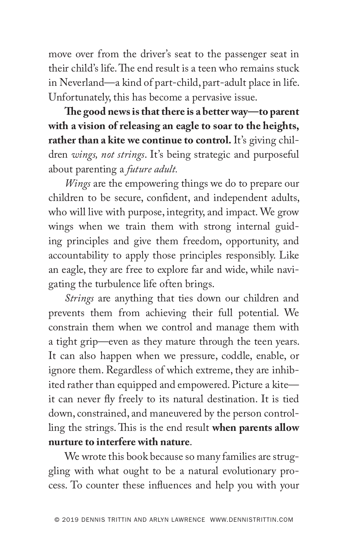move over from the driver's seat to the passenger seat in their child's life. The end result is a teen who remains stuck in Neverland—a kind of part-child, part-adult place in life. Unfortunately, this has become a pervasive issue.

**The good news is that there is a better way—to parent with a vision of releasing an eagle to soar to the heights,**  rather than a kite we continue to control. It's giving children *wings, not strings*. It's being strategic and purposeful about parenting a *future adult.*

*Wings* are the empowering things we do to prepare our children to be secure, confident, and independent adults, who will live with purpose, integrity, and impact. We grow wings when we train them with strong internal guiding principles and give them freedom, opportunity, and accountability to apply those principles responsibly. Like an eagle, they are free to explore far and wide, while navigating the turbulence life often brings.

*Strings* are anything that ties down our children and prevents them from achieving their full potential. We constrain them when we control and manage them with a tight grip—even as they mature through the teen years. It can also happen when we pressure, coddle, enable, or ignore them. Regardless of which extreme, they are inhibited rather than equipped and empowered. Picture a kite it can never fly freely to its natural destination. It is tied down, constrained, and maneuvered by the person controlling the strings. This is the end result **when parents allow nurture to interfere with nature**.

We wrote this book because so many families are struggling with what ought to be a natural evolutionary process. To counter these influences and help you with your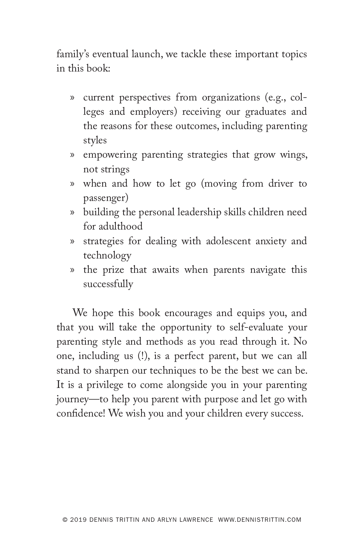family's eventual launch, we tackle these important topics in this book:

- » current perspectives from organizations (e.g., colleges and employers) receiving our graduates and the reasons for these outcomes, including parenting styles
- » empowering parenting strategies that grow wings, not strings
- » when and how to let go (moving from driver to passenger)
- » building the personal leadership skills children need for adulthood
- » strategies for dealing with adolescent anxiety and technology
- » the prize that awaits when parents navigate this successfully

We hope this book encourages and equips you, and that you will take the opportunity to self-evaluate your parenting style and methods as you read through it. No one, including us (!), is a perfect parent, but we can all stand to sharpen our techniques to be the best we can be. It is a privilege to come alongside you in your parenting journey—to help you parent with purpose and let go with confidence! We wish you and your children every success.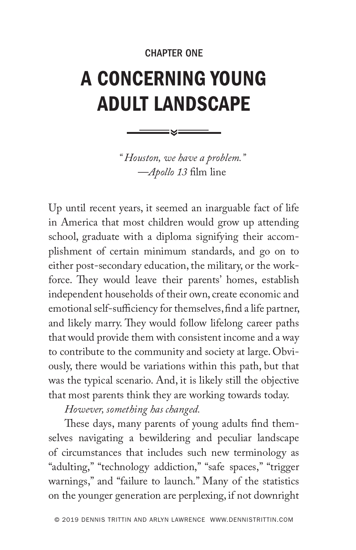## CHAPTER ONE

## A CONCERNING YOUNG ADULT LANDSCAPE

*" Houston, we have a problem."* —*Apollo 13* film line

Up until recent years, it seemed an inarguable fact of life in America that most children would grow up attending school, graduate with a diploma signifying their accomplishment of certain minimum standards, and go on to either post-secondary education, the military, or the workforce. They would leave their parents' homes, establish independent households of their own, create economic and emotional self-sufficiency for themselves, find a life partner, and likely marry. They would follow lifelong career paths that would provide them with consistent income and a way to contribute to the community and society at large. Obviously, there would be variations within this path, but that was the typical scenario. And, it is likely still the objective that most parents think they are working towards today.

*However, something has changed.*

These days, many parents of young adults find themselves navigating a bewildering and peculiar landscape of circumstances that includes such new terminology as "adulting," "technology addiction," "safe spaces," "trigger warnings," and "failure to launch." Many of the statistics on the younger generation are perplexing, if not downright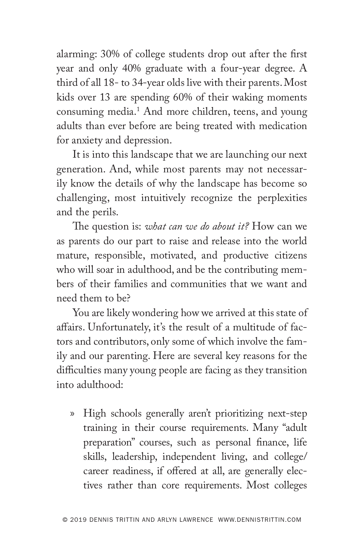alarming: 30% of college students drop out after the first year and only 40% graduate with a four-year degree. A third of all 18- to 34-year olds live with their parents. Most kids over 13 are spending 60% of their waking moments consuming media.1 And more children, teens, and young adults than ever before are being treated with medication for anxiety and depression.

It is into this landscape that we are launching our next generation. And, while most parents may not necessarily know the details of why the landscape has become so challenging, most intuitively recognize the perplexities and the perils.

The question is: *what can we do about it?* How can we as parents do our part to raise and release into the world mature, responsible, motivated, and productive citizens who will soar in adulthood, and be the contributing members of their families and communities that we want and need them to be?

You are likely wondering how we arrived at this state of affairs. Unfortunately, it's the result of a multitude of factors and contributors, only some of which involve the family and our parenting. Here are several key reasons for the difficulties many young people are facing as they transition into adulthood:

» High schools generally aren't prioritizing next-step training in their course requirements. Many "adult preparation" courses, such as personal finance, life skills, leadership, independent living, and college/ career readiness, if offered at all, are generally electives rather than core requirements. Most colleges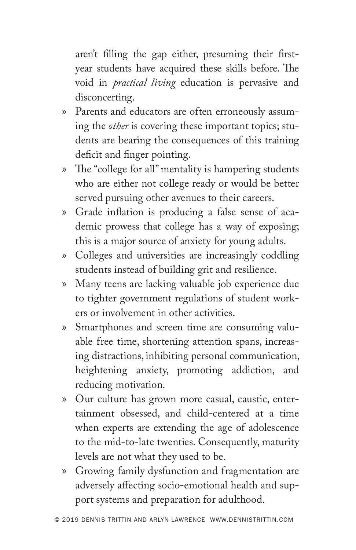aren't filling the gap either, presuming their firstyear students have acquired these skills before. The void in *practical living* education is pervasive and disconcerting.

- » Parents and educators are often erroneously assuming the *other* is covering these important topics; students are bearing the consequences of this training deficit and finger pointing.
- » The "college for all" mentality is hampering students who are either not college ready or would be better served pursuing other avenues to their careers.
- » Grade inflation is producing a false sense of academic prowess that college has a way of exposing; this is a major source of anxiety for young adults.
- » Colleges and universities are increasingly coddling students instead of building grit and resilience.
- » Many teens are lacking valuable job experience due to tighter government regulations of student workers or involvement in other activities.
- » Smartphones and screen time are consuming valuable free time, shortening attention spans, increasing distractions, inhibiting personal communication, heightening anxiety, promoting addiction, and reducing motivation.
- » Our culture has grown more casual, caustic, entertainment obsessed, and child-centered at a time when experts are extending the age of adolescence to the mid-to-late twenties. Consequently, maturity levels are not what they used to be.
- » Growing family dysfunction and fragmentation are adversely affecting socio-emotional health and support systems and preparation for adulthood.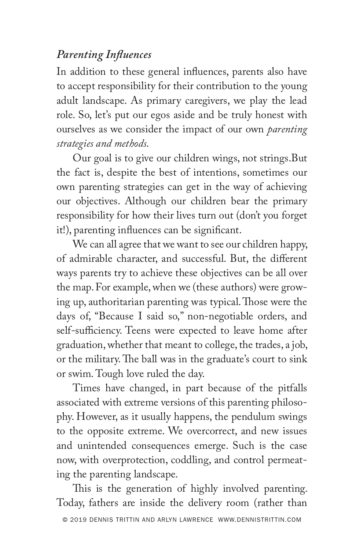## *Parenting Influences*

In addition to these general influences, parents also have to accept responsibility for their contribution to the young adult landscape. As primary caregivers, we play the lead role. So, let's put our egos aside and be truly honest with ourselves as we consider the impact of our own *parenting strategies and methods*.

Our goal is to give our children wings, not strings.But the fact is, despite the best of intentions, sometimes our own parenting strategies can get in the way of achieving our objectives. Although our children bear the primary responsibility for how their lives turn out (don't you forget it!), parenting influences can be significant.

We can all agree that we want to see our children happy, of admirable character, and successful. But, the different ways parents try to achieve these objectives can be all over the map. For example, when we (these authors) were growing up, authoritarian parenting was typical. Those were the days of, "Because I said so," non-negotiable orders, and self-sufficiency. Teens were expected to leave home after graduation, whether that meant to college, the trades, a job, or the military. The ball was in the graduate's court to sink or swim. Tough love ruled the day.

Times have changed, in part because of the pitfalls associated with extreme versions of this parenting philosophy. However, as it usually happens, the pendulum swings to the opposite extreme. We overcorrect, and new issues and unintended consequences emerge. Such is the case now, with overprotection, coddling, and control permeating the parenting landscape.

This is the generation of highly involved parenting. Today, fathers are inside the delivery room (rather than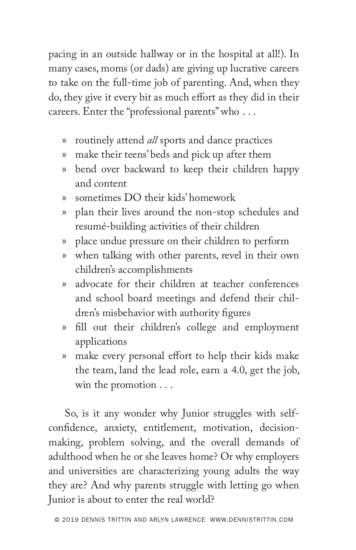pacing in an outside hallway or in the hospital at all!). In many cases, moms (or dads) are giving up lucrative careers to take on the full-time job of parenting. And, when they do, they give it every bit as much effort as they did in their careers. Enter the "professional parents" who . . .

- » routinely attend *all* sports and dance practices
- » make their teens' beds and pick up after them
- » bend over backward to keep their children happy and content
- » sometimes DO their kids' homework
- » plan their lives around the non-stop schedules and resumé-building activities of their children
- » place undue pressure on their children to perform
- » when talking with other parents, revel in their own children's accomplishments
- » advocate for their children at teacher conferences and school board meetings and defend their children's misbehavior with authority figures
- » fill out their children's college and employment applications
- » make every personal effort to help their kids make the team, land the lead role, earn a 4.0, get the job, win the promotion . . .

So, is it any wonder why Junior struggles with selfconfidence, anxiety, entitlement, motivation, decisionmaking, problem solving, and the overall demands of adulthood when he or she leaves home? Or why employers and universities are characterizing young adults the way they are? And why parents struggle with letting go when Junior is about to enter the real world?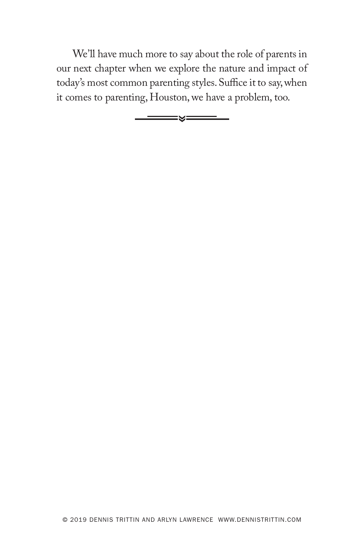We'll have much more to say about the role of parents in our next chapter when we explore the nature and impact of today's most common parenting styles. Suffice it to say, when it comes to parenting, Houston, we have a problem, too.